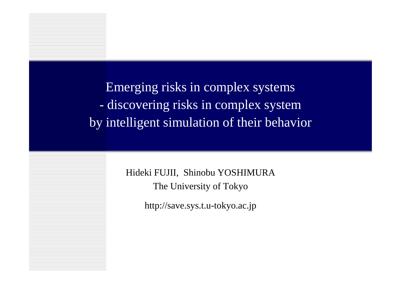Emerging risks in complex systems - discovering risks in complex system by intelligent simulation of their behavior

> Hideki FUJII, Shinobu YOSHIMURA The University of Tokyo

> > http://save.sys.t.u-tokyo.ac.jp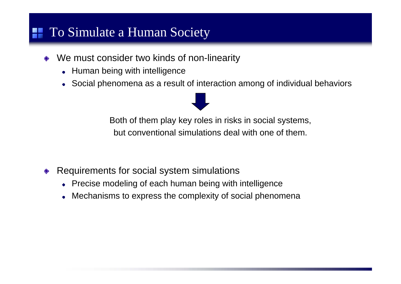## **To Simulate a Human Society**

- We must consider two kinds of non-linearity  $\Diamond$ 
	- Human being with intelligence
	- Social phenomena as a result of interaction among of individual behaviors

Both of them play key roles in risks in social systems, but conventional simulations deal with one of them.

- Requirements for social system simulations  $\Longleftrightarrow$ 
	- Precise modeling of each human being with intelligence
	- Mechanisms to express the complexity of social phenomena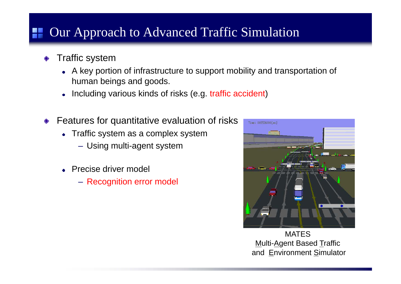## Our Approach to Advanced Traffic Simulation

- ◆ Traffic system
	- A key portion of infrastructure to support mobility and transportation of human beings and goods.
	- Including various kinds of risks (e.g. traffic accident)  $\bullet$
- Features for quantitative evaluation of risks  $\Diamond$ 
	- Traffic system as a complex system
		- Using multi-agent system
	- **Precise driver model** 
		- Recognition error model



MATESMulti-Agent Based Traffic and Environment Simulator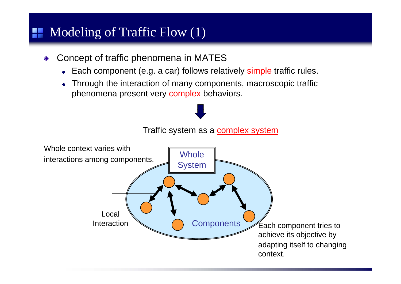## Modeling of Traffic Flow (1)

- Concept of traffic phenomena in MATES  $\Diamond$ 
	- Each component (e.g. a car) follows relatively simple traffic rules.
	- Through the interaction of many components, macroscopic traffic phenomena present very complex behaviors.

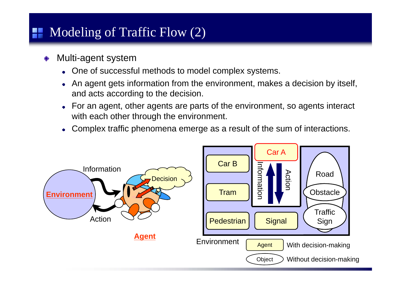## Modeling of Traffic Flow (2)

- Multi-agent system  $\Diamond$ 
	- One of successful methods to model complex systems.
	- An agent gets information from the environment, makes a decision by itself, and acts according to the decision.
	- For an agent, other agents are parts of the environment, so agents interact with each other through the environment.
	- Complex traffic phenomena emerge as a result of the sum of interactions.  $\bullet$

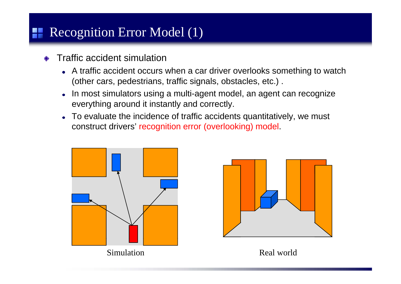# Recognition Error Model (1)

- Traffic accident simulation
	- A traffic accident occurs when a car driver overlooks something to watch (other cars, pedestrians, traffic signals, obstacles, etc.) .
	- In most simulators using a multi-agent model, an agent can recognize  $\bullet$ everything around it instantly and correctly.
	- To evaluate the incidence of traffic accidents quantitatively, we must  $\bullet$ construct drivers' recognition error (overlooking) model.





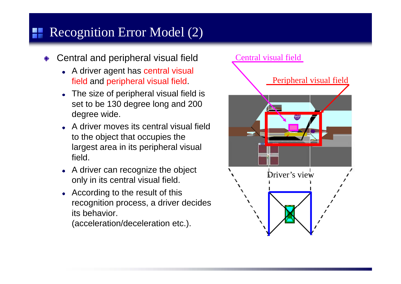# Recognition Error Model (2)

- Central and peripheral visual field
	- A driver agent has central visual field and peripheral visual field.
	- The size of peripheral visual field is set to be 130 degree long and 200 degree wide.
	- A driver moves its central visual field to the object that occupies the largest area in its peripheral visual field.
	- A driver can reco only in its central visual field.
	- According to the result of this recognition process, a driver decides its behavior.

(acceleration/deceleration etc.).

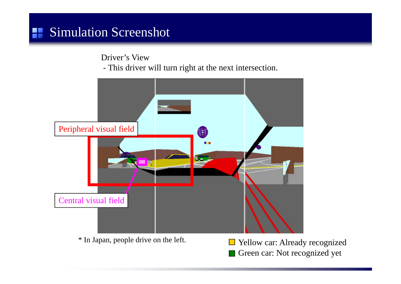Driver's View

- This driver will turn right at the next intersection.



- \* In Japan, people drive on the left.
	- $\Box$  Yellow car: Already recognized Green car: Not recognized yet  $\mathcal{L}_{\mathcal{A}}$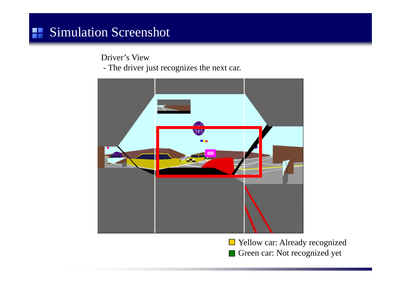Driver's View

- The driver just recognizes the next car.



Yellow car: Already recognize d Green car: Not recognized yet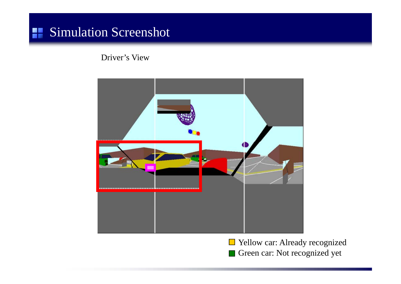Driver's View



Yellow car: Already recognize d Green car: Not recognized yet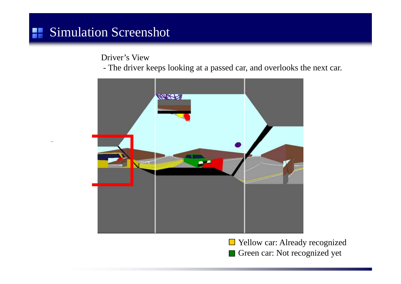Driver's View

- The driver keeps looking at a passed car, and overlooks the next car.



 $\mathcal{L}(\mathcal{A})$ Yellow car: Already recognize d Green car: Not recognized yet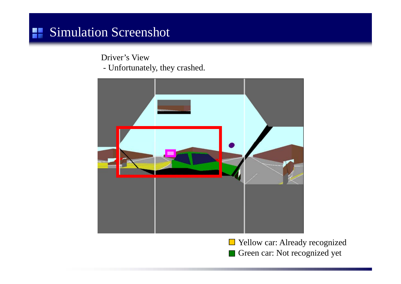Driver's View

- Unfortunately, they crashed.



Yellow car: Already recognize d Green car: Not recognized yet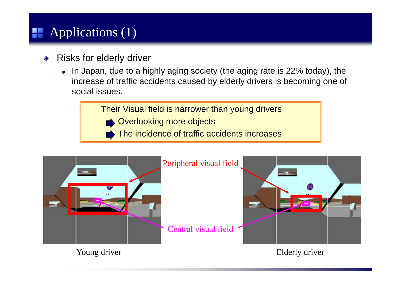# **Applications (1)**

- Risks for elderly driver
	- In Japan, due to a highly aging society (the aging rate is 22% today), the increase of traffic accidents caused by elderly drivers is becoming one of social issues.

Their Visual field is narrower than young drivers

- Overlooking more objects
- The incidence of traffic accidents increases

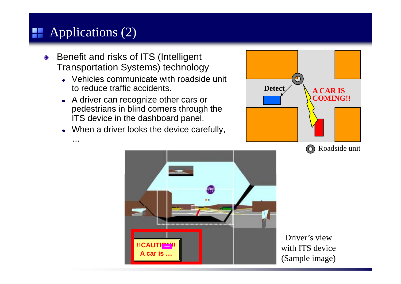# **Applications (2)**

…

- Benefit and risks of ITS (Intelligent  $\Diamond$ Transportation Systems) technology
	- Vehicles communicate with roadside unit to reduce traffic accidents.
	- A driver can recognize other cars or pedestrians in blind corners through the ITS device in the dashboard panel.
	- When a driver looks the device carefully,





Driver's view with ITS device (Sample image)